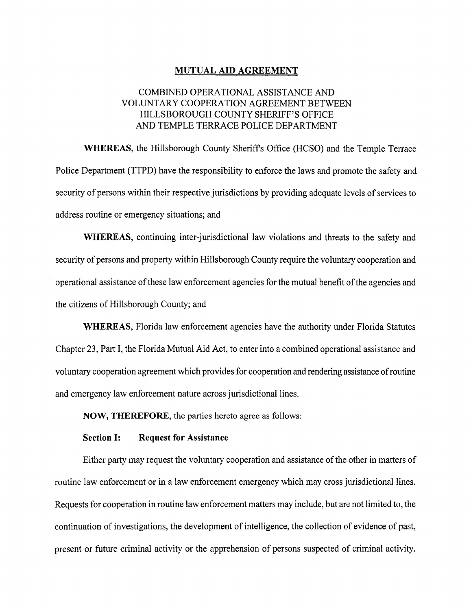## MUTUAL AID AGREEMENT

# COMBINED OPERATIONAL ASSISTANCE AND VOLUNTARY COOPERATION AGREEMENT BETWEEN HILLSBOROUGH COUNTY SHERIFF'S OFFICE AND TEMPLE TERRACE POLICE DEPARTMENT

WHEREAS, the Hillsborough County Sheriff's Office (HCSO) and the Temple Terrace Police Department (TTPD) have the responsibility to enforce the laws and promote the safety and security of persons within their respective jurisdictions by providing adequate levels of services to address routine or emergency situations; and

WHEREAS, continuing inter-jurisdictional law violations and threats to the safety and security of persons and property within Hillsborough County require the voluntary cooperation and operational assistance of these law enforcement agencies for the mutual benefit of the agencies and the citizens of Hillsborough County; and

WHEREAS, Florida law enforcement agencies have the authority under Florida Statutes Chapter 23, Part I, the Florida Mutual Aid Act, to enter into <sup>a</sup> combined operational assistance and voluntary cooperation agreement which provides for cooperation and rendering assistance of routine and emergency law enforcement nature across jurisdictional lines.

NOW, THEREFORE, the parties hereto agree as follows:

## Section I: Request for Assistance

Either party may request the voluntary cooperation and assistance of the other in matters of routine law enforcement or in a law enforcement emergency which may cross jurisdictional lines. Requests for cooperation in routine law enforcement matters may include, but are not limited to, the continuation of investigations, the development of intelligence, the collection of evidence of past, present or future criminal activity or the apprehension of persons suspected of criminal activity.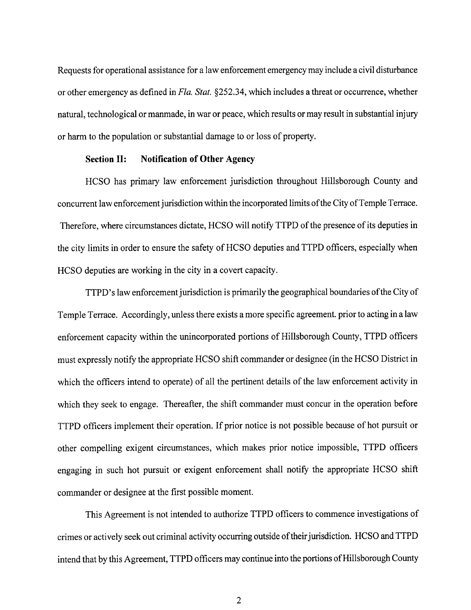Requests for operational assistance for a law enforcement emergency may include <sup>a</sup> civil disturbance or other emergency as defined in Fla. Stat. §252. 34, which includes <sup>a</sup> threat or occurrence, whether natural, technological or manmade, in war or peace, which results or may result in substantial injury or harm to the population or substantial damage to or loss of property.

#### Section II: Notification of Other Agency

HCSO has primary law enforcement jurisdiction throughout Hillsborough County and concurrent law enforcement jurisdiction within the incorporated limits of the City of Temple Terrace. Therefore, where circumstances dictate, HCSO will notify TTPD of the presence of its deputies in the city limits in order to ensure the safety of HCSO deputies and TTPD officers, especially when HCSO deputies are working in the city in a covert capacity.

TTPD's law enforcement jurisdiction is primarily the geographical boundaries of the City of Temple Terrace. Accordingly, unless there exists a more specific agreement. prior to acting in a law enforcement capacity within the unincorporated portions of Hillsborough County, TTPD officers must expressly notify the appropriate HCSO shift commander or designee( in the HCSO District in which the officers intend to operate) of all the pertinent details of the law enforcement activity in which they seek to engage. Thereafter, the shift commander must concur in the operation before TTPD officers implement their operation. If prior notice is not possible because of hot pursuit or other compelling exigent circumstances, which makes prior notice impossible, TTPD officers engaging in such hot pursuit or exigent enforcement shall notify the appropriate HCSO shift commander or designee at the first possible moment.

This Agreement is not intended to authorize TTPD officers to commence investigations of crimes or actively seek out criminal activity occurring outside oftheir jurisdiction. HCSO and TTPD intend that by this Agreement, TTPD officers may continue into the portions of Hillsborough County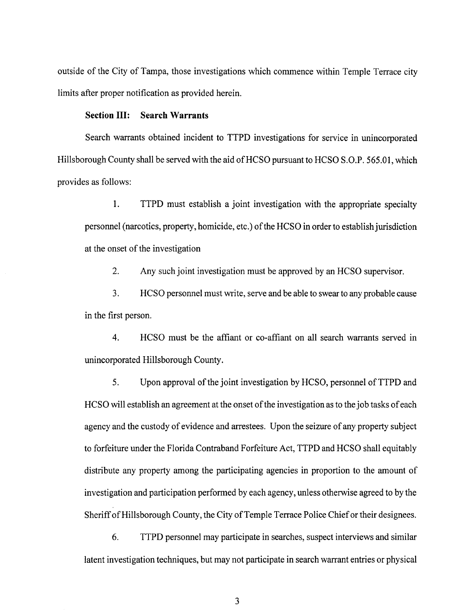outside of the City of Tampa, those investigations which commence within Temple Terrace city limits after proper notification as provided herein.

### Section III: Search Warrants

Search warrants obtained incident to TTPD investigations for service in unincorporated Hillsborough County shall be served with the aid of HCSO pursuant to HCSO S.O.P. 565.01, which provides as follows:

1. TTPD must establish a joint investigation with the appropriate specialty personnel (narcotics, property, homicide, etc.) of the HCSO in order to establish jurisdiction at the onset of the investigation

2. Any such joint investigation must be approved by an HCSO supervisor.

3. HCSO personnel must write, serve and be able to swear to any probable cause in the first person.

4. HCSO must be the affiant or co-affiant on all search warrants served in unincorporated Hillsborough County.

5. Upon approval of the joint investigation by HCSO, personnel of TTPD and HCSO will establish an agreement at the onset of the investigation as to the job tasks of each agency and the custody of evidence and arrestees. Upon the seizure of any property subject to forfeiture under the Florida Contraband Forfeiture Act, TTPD and HCSO shall equitably distribute any property among the participating agencies in proportion to the amount of investigation and participation performed by each agency, unless otherwise agreed to by the Sheriff of Hillsborough County, the City of Temple Terrace Police Chief or their designees.

6. TTPD personnel may participate in searches, suspect interviews and similar latent investigation techniques, but may not participate in search warrant entries or physical

3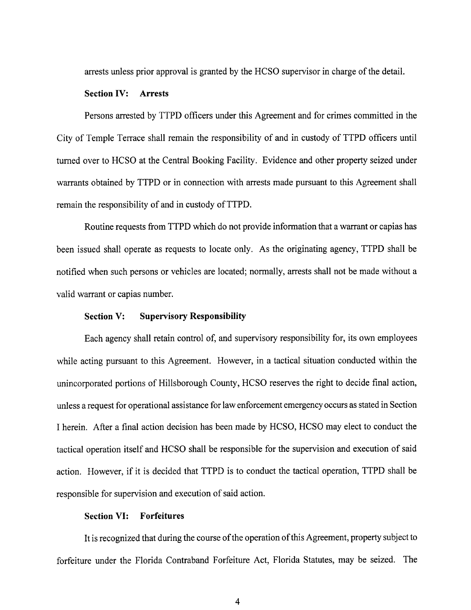arrests unless prior approval is granted by the HCSO supervisor in charge of the detail.

## Section IV: Arrests

Persons arrested by TTPD officers under this Agreement and for crimes committed in the City of Temple Terrace shall remain the responsibility of and in custody of TTPD officers until turned over to HCSO at the Central Booking Facility. Evidence and other property seized under warrants obtained by TTPD or in connection with arrests made pursuant to this Agreement shall remain the responsibility of and in custody of TTPD.

Routine requests from TTPD which do not provide information that a warrant or capias has been issued shall operate as requests to locate only. As the originating agency, TTPD shall be notified when such persons or vehicles are located; normally, arrests shall not be made without a valid warrant or capias number.

## Section V: Supervisory Responsibility

Each agency shall retain control of, and supervisory responsibility for, its own employees while acting pursuant to this Agreement. However, in <sup>a</sup> tactical situation conducted within the unincorporated portions of Hillsborough County, HCSO reserves the right to decide final action, unless a request for operational assistance for law enforcement emergency occurs as stated in Section I herein. After <sup>a</sup> final action decision has been made by HCSO, HCSO may elect to conduct the tactical operation itself and HCSO shall be responsible for the supervision and execution of said action. However, if it is decided that TTPD is to conduct the tactical operation, TTPD shall be responsible for supervision and execution of said action.

## Section VI: Forfeitures

It is recognized that during the course of the operation ofthis Agreement, properiy subject to forfeiture under the Florida Contraband Forfeiture Act, Florida Statutes, may be seized. The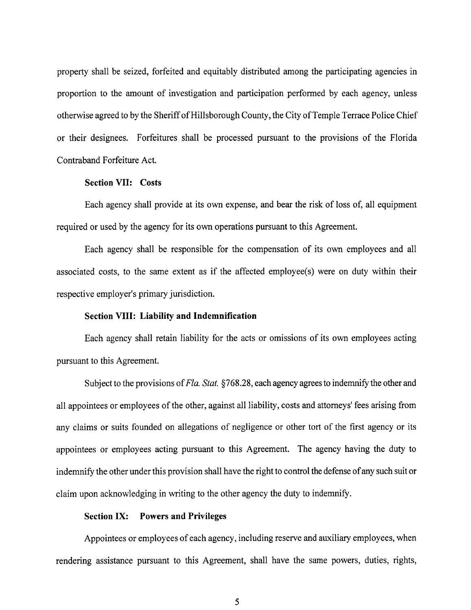property shall be seized, forfeited and equitably distributed among the participating agencies in proportion to the amount of investigation and participation performed by each agency, unless otherwise agreed to by the Sheriffof Hillsborough County, the City ofTemple Terrace Police Chief or their designees. Forfeitures shall be processed pursuant to the provisions of the Florida Contraband Forfeiture Act.

### Section VII: Costs

Each agency shall provide at its own expense, and bear the risk of loss of, all equipment required or used by the agency for its own operations pursuant to this Agreement.

Each agency shall be responsible for the compensation of its own employees and all associated costs, to the same extent as if the affected employee(s) were on duty within their respective employer's primary jurisdiction.

## Section VIII: Liability and Indemnification

Each agency shall retain liability for the acts or omissions of its own employees acting pursuant to this Agreement.

Subject to the provisions of Fla. Stat. § 768.28, each agency agrees to indemnify the other and all appointees or employees of the other, against all liability, costs and attorneys' fees arising from any claims or suits founded on allegations of negligence or other tort of the first agency or its appointees or employees acting pursuant to this Agreement. The agency having the duty to indemnify the other under this provision shall have the right to control the defense of any such suit or claim upon acknowledging in writing to the other agency the duty to indemnify.

#### Section IX: Powers and Privileges

Appointees or employees of each agency, including reserve and auxiliary employees, when rendering assistance pursuant to this Agreement, shall have the same powers, duties, rights,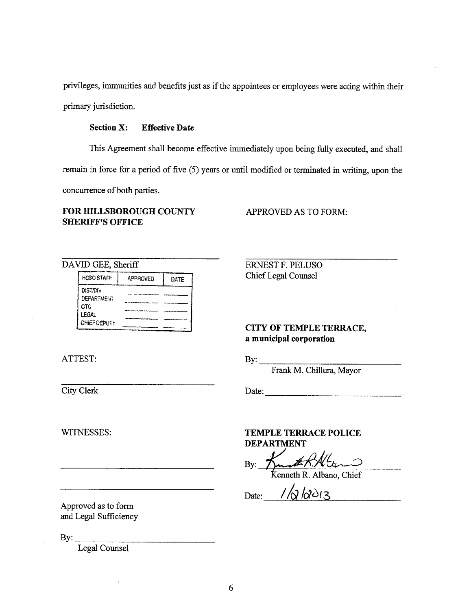privileges, immunities and benefits just as if the appointees or employees were acting within their primary jurisdiction.

## Section X: Effective Date

This Agreement shall become effective immediately upon being fully executed, and shall

remain in force for a period of five (5) years or until modified or terminated in writing, upon the

concurrence of both parties.

## FOR HILLSBOROUGH COUNTY APPROVED AS TO FORM: **SHERIFF'S OFFICE**

| <b>HCSO STAFF</b>                            | <b>APPROVED</b> | DATE |
|----------------------------------------------|-----------------|------|
| <b>DIST/DIV</b><br><b>DEFARTMENT</b><br>OTC. |                 |      |
| <b>LEGAL</b><br><b>CHIEF DEPUTY</b>          |                 |      |

# ATTEST: By:

DAVID GEE, Sheriff ERNEST F. PELUSO Chief Lega1 Couaxsel

## CITY OF TEMPLE TERRACE, a municipal corporation

Frank M. Chillura, Mayor

City Clerk Date:

Approved as to form and Legal Sufficiency

By:

Legal Counsel

### WITNESSES: TEMPLE TERRACE POLICE DEPARTMENT

By: Kunt R. Albano, Chief

Date:  $1/\sqrt{2}/2013$